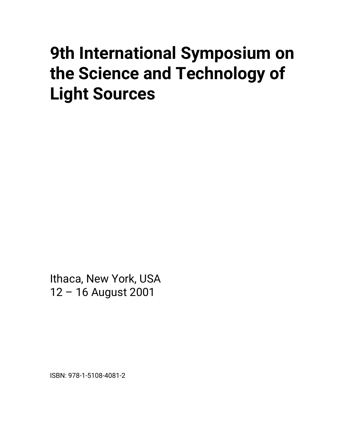# **9th International Symposium on the Science and Technology of Light Sources**

Ithaca, New York, USA 12 – 16 August 2001

ISBN: 978-1-5108-4081-2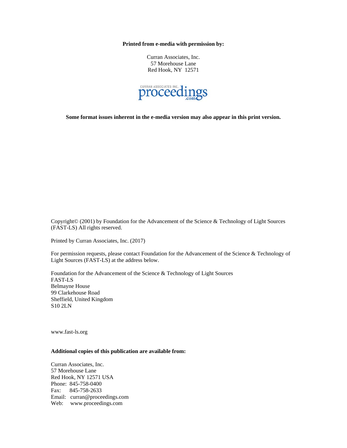**Printed from e-media with permission by:** 

Curran Associates, Inc. 57 Morehouse Lane Red Hook, NY 12571



**Some format issues inherent in the e-media version may also appear in this print version.** 

Copyright© (2001) by Foundation for the Advancement of the Science & Technology of Light Sources (FAST-LS) All rights reserved.

Printed by Curran Associates, Inc. (2017)

For permission requests, please contact Foundation for the Advancement of the Science & Technology of Light Sources (FAST-LS) at the address below.

Foundation for the Advancement of the Science & Technology of Light Sources FAST-LS Belmayne House 99 Clarkehouse Road Sheffield, United Kingdom S10 2LN

www.fast-ls.org

## **Additional copies of this publication are available from:**

Curran Associates, Inc. 57 Morehouse Lane Red Hook, NY 12571 USA Phone: 845-758-0400 Fax: 845-758-2633 Email: curran@proceedings.com Web: www.proceedings.com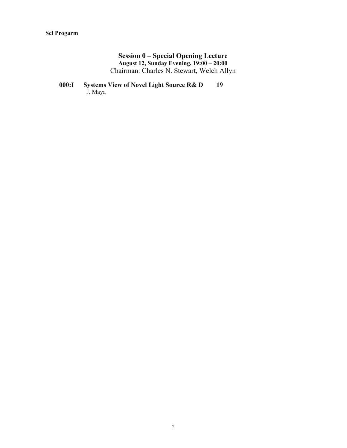## **Session 0 – Special Opening Lecture August 12, Sunday Evening, 19:00 – 20:00**  Chairman: Charles N. Stewart, Welch Allyn

## **000:I Systems View of Novel Light Source R& D 19** J. Maya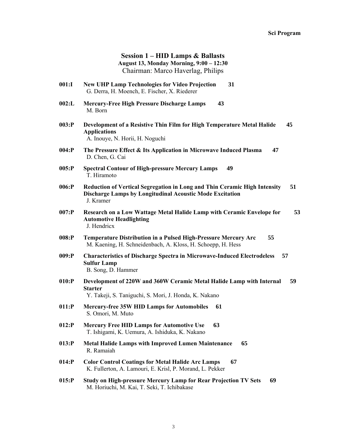## **Session 1 – HID Lamps & Ballasts August 13, Monday Morning, 9:00 – 12:30**  Chairman: Marco Haverlag, Philips

- **001:I New UHP Lamp Technologies for Video Projection 31** G. Derra, H. Moench, E. Fischer, X. Riederer
- **002:L Mercury-Free High Pressure Discharge Lamps 43** M. Born
- **003:P Development of a Resistive Thin Film for High Temperature Metal Halide 45 Applications**  A. Inouye, N. Horii, H. Noguchi
- **004:P The Pressure Effect & Its Application in Microwave Induced Plasma 47** D. Chen, G. Cai
- **005:P Spectral Contour of High-pressure Mercury Lamps 49** T. Hiramoto
- **006:P Reduction of Vertical Segregation in Long and Thin Ceramic High Intensity 51 Discharge Lamps by Longitudinal Acoustic Mode Excitation**  J. Kramer
- **007:P Research on a Low Wattage Metal Halide Lamp with Ceramic Envelope for 53 Automotive Headlighting**  J. Hendricx
- **008:P Temperature Distribution in a Pulsed High-Pressure Mercury Arc 55** M. Kaening, H. Schneidenbach, A. Kloss, H. Schoepp, H. Hess
- **009:P Characteristics of Discharge Spectra in Microwave-Induced Electrodeless 57 Sulfur Lamp**  B. Song, D. Hammer
- **010:P Development of 220W and 360W Ceramic Metal Halide Lamp with Internal 59 Starter**  Y. Takeji, S. Taniguchi, S. Mori, J. Honda, K. Nakano
- **011:P Mercury-free 35W HID Lamps for Automobiles 61** S. Omori, M. Muto
- **012:P Mercury Free HID Lamps for Automotive Use 63** T. Ishigami, K. Uemura, A. Ishiduka, K. Nakano
- **013:P Metal Halide Lamps with Improved Lumen Maintenance 65** R. Ramaiah
- **014:P Color Control Coatings for Metal Halide Arc Lamps 67** K. Fullerton, A. Lamouri, E. Krisl, P. Morand, L. Pekker
- **015:P Study on High-pressure Mercury Lamp for Rear Projection TV Sets 69** M. Horiuchi, M. Kai, T. Seki, T. Ichibakase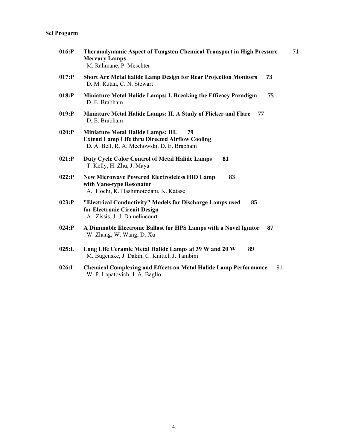| $016$ :P  | Thermodynamic Aspect of Tungsten Chemical Transport in High Pressure<br><b>Mercury Lamps</b><br>M. Rahmane, P. Meschter                         | 71 |
|-----------|-------------------------------------------------------------------------------------------------------------------------------------------------|----|
| $017:$ P  | 73<br><b>Short Arc Metal halide Lamp Design for Rear Projection Monitors</b><br>D. M. Rutan, C. N. Stewart                                      |    |
| $018$ : P | Miniature Metal Halide Lamps: I. Breaking the Efficacy Paradigm<br>75<br>D. E. Brabham                                                          |    |
| $019:$ P  | Miniature Metal Halide Lamps: II. A Study of Flicker and Flare<br>77<br>D. E. Brabham                                                           |    |
| 020:P     | Miniature Metal Halide Lamps: III.<br>79<br><b>Extend Lamp Life thru Directed Airflow Cooling</b><br>D. A. Bell, R. A. Mechowski, D. E. Brabham |    |
| 021:P     | <b>Duty Cycle Color Control of Metal Halide Lamps</b><br>81<br>T. Kelly, H. Zhu, J. Maya                                                        |    |
| $022:$ P  | 83<br><b>New Microwave Powered Electrodeless HID Lamp</b><br>with Vane-type Resonator<br>A. Hochi, K. Hashimotodani, K. Katase                  |    |
| 023:P     | "Electrical Conductivity" Models for Discharge Lamps used<br>85<br>for Electronic Circuit Design<br>A. Zissis, J.-J. Damelincourt               |    |
| $024:$ P  | A Dimmable Electronic Ballast for HPS Lamps with a Novel Ignitor<br>87<br>W. Zhang, W. Wang, D. Xu                                              |    |
| 025: L    | Long Life Ceramic Metal Halide Lamps at 39 W and 20 W<br>89<br>M. Bugenske, J. Dakin, C. Knittel, J. Tambini                                    |    |
| 026:1     | <b>Chemical Complexing and Effects on Metal Halide Lamp Performance</b><br>91<br>W. P. Lapatovich, J. A. Baglio                                 |    |

4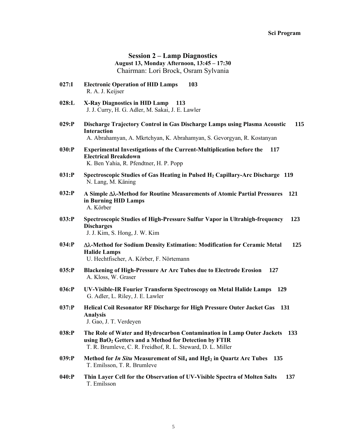**Session 2 – Lamp Diagnostics August 13, Monday Afternoon, 13:45 – 17:30**  Chairman: Lori Brock, Osram Sylvania

- **027:I Electronic Operation of HID Lamps 103** R. A. J. Keijser
- **028:L X-Ray Diagnostics in HID Lamp 113** J. J. Curry, H. G. Adler, M. Sakai, J. E. Lawler
- **029:P Discharge Trajectory Control in Gas Discharge Lamps using Plasma Acoustic 115 Interaction**  A. Abrahamyan, A. Mkrtchyan, K. Abrahamyan, S. Gevorgyan, R. Kostanyan
- **030:P Experimental Investigations of the Current-Multiplication before the 117 Electrical Breakdown**  K. Ben Yahia, R. Pfendtner, H. P. Popp
- **031:P Spectroscopic Studies of Gas Heating in Pulsed H2 Capillary-Arc Discharge 119** N. Lang, M. Käning
- **032:P A Simple -Method for Routine Measurements of Atomic Partial Pressures 121 in Burning HID Lamps**  A. Körber
- **033:P Spectroscopic Studies of High-Pressure Sulfur Vapor in Ultrahigh-frequency 123 Discharges**  J. J. Kim, S. Hong, J. W. Kim
- **034:P -Method for Sodium Density Estimation: Modification for Ceramic Metal 125 Halide Lamps**  U. Hechtfischer, A. Körber, F. Nörtemann
- **035:P Blackening of High-Pressure Ar Arc Tubes due to Electrode Erosion 127** A. Kloss, W. Graser
- **036:P UV-Visible-IR Fourier Transform Spectroscopy on Metal Halide Lamps 129** G. Adler, L. Riley, J. E. Lawler
- **037:P Helical Coil Resonator RF Discharge for High Pressure Outer Jacket Gas 131 Analysis**  J. Gao, J. T. Verdeyen
- **038:P The Role of Water and Hydrocarbon Contamination in Lamp Outer Jackets 133** using BaO<sub>2</sub> Getters and a Method for Detection by FTIR T. R. Brumleve, C. R. Freidhof, R. L. Steward, D. L. Miller
- **039:P Method for** *In Situ* **Measurement of SiI4 and HgI2 in Quartz Arc Tubes 135** T. Emilsson, T. R. Brumleve
- **040:P Thin Layer Cell for the Observation of UV-Visible Spectra of Molten Salts 137** T. Emilsson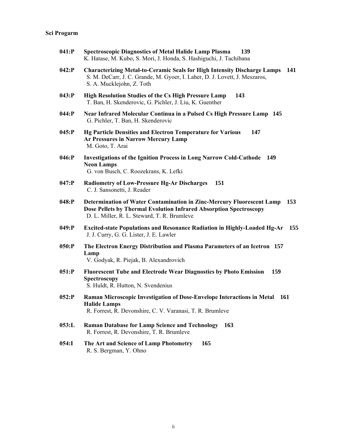| 041:P    | <b>Spectroscopic Diagnostics of Metal Halide Lamp Plasma</b><br>139<br>K. Hatase, M. Kubo, S. Mori, J. Honda, S. Hashiguchi, J. Tachibana                                                         |
|----------|---------------------------------------------------------------------------------------------------------------------------------------------------------------------------------------------------|
| $042:$ P | <b>Characterizing Metal-to-Ceramic Seals for High Intensity Discharge Lamps</b><br>141<br>S. M. DeCarr, J. C. Grande, M. Gyoer, I. Laher, D. J. Lovett, J. Meszaros,<br>S. A. Mucklejohn, Z. Toth |
| 043:P    | High Resolution Studies of the Cs High Pressure Lamp<br>143<br>T. Ban, H. Skenderovic, G. Pichler, J. Liu, K. Guenther                                                                            |
| $044$ :P | Near Infrared Molecular Continua in a Pulsed Cs High Pressure Lamp 145<br>G. Pichler, T. Ban, H. Skenderovic                                                                                      |
| $045$ :P | <b>Hg Particle Densities and Electron Temperature for Various</b><br>147<br>Ar Pressures in Narrow Mercury Lamp<br>M. Goto, T. Arai                                                               |
| $046:$ P | <b>Investigations of the Ignition Process in Long Narrow Cold-Cathode</b><br>149<br><b>Neon Lamps</b><br>G. von Busch, C. Roozekrans, K. Lefki                                                    |
| $047:$ P | <b>Radiometry of Low-Pressure Hg-Ar Discharges</b><br>151<br>C. J. Sansonetti, J. Reader                                                                                                          |
| $048$ :P | Determination of Water Contamination in Zinc-Mercury Fluorescent Lamp<br>153<br>Dose Pellets by Thermal Evolution Infrared Absorption Spectroscopy<br>D. L. Miller, R. L. Steward, T. R. Brumleve |
| $049:$ P | Excited-state Populations and Resonance Radiation in Highly-Loaded Hg-Ar<br>155<br>J. J. Curry, G. G. Lister, J. E. Lawler                                                                        |
| $050$ :P | The Electron Energy Distribution and Plasma Parameters of an Icetron 157<br>Lamp<br>V. Godyak, R. Piejak, B. Alexandrovich                                                                        |
| 051:P    | <b>Fluorescent Tube and Electrode Wear Diagnostics by Photo Emission</b><br>159<br>Spectroscopy<br>S. Huldt, R. Hutton, N. Svendenius                                                             |
| 052:P    | Raman Microscopic Investigation of Dose-Envelope Interactions in Metal<br>161<br><b>Halide Lamps</b><br>R. Forrest, R. Devonshire, C. V. Varanasi, T. R. Brumleve                                 |
| 053: L   | <b>Raman Database for Lamp Science and Technology</b><br>163<br>R. Forrest, R. Devonshire, T. R. Brumleve                                                                                         |
| 054:1    | The Art and Science of Lamp Photometry<br>165<br>R. S. Bergman, Y. Ohno                                                                                                                           |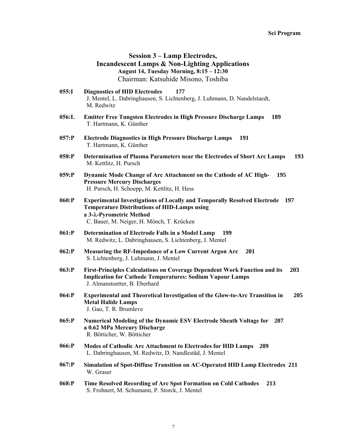## **Session 3 – Lamp Electrodes, Incandescent Lamps & Non-Lighting Applications August 14, Tuesday Morning, 8:15 – 12:30**  Chairman: Katsuhide Misono, Toshiba

- **055:I Diagnostics of HID Electrodes 177** J. Mentel, L. Dabringhausen, S. Lichtenberg, J. Luhmann, D. Nandelstaedt, M. Redwitz
- **056:L Emitter Free Tungsten Electrodes in High Pressure Discharge Lamps 189** T. Hartmann, K. Günther
- **057:P Electrode Diagnostics in High Pressure Discharge Lamps 191** T. Hartmann, K. Günther
- **058:P Determination of Plasma Parameters near the Electrodes of Short Arc Lamps 193** M. Kettlitz, H. Pursch
- **059:P Dynamic Mode Change of Arc Attachment on the Cathode of AC High- 195 Pressure Mercury Discharges**  H. Pursch, H. Schoepp, M. Kettlitz, H. Hess
- **060:P Experimental Investigations of Locally and Temporally Resolved Electrode 197 Temperature Distributions of HID-Lamps using a 3--Pyrometric Method**  C. Bauer, M. Neiger, H. Mönch, T. Krücken
- **061:P Determination of Electrode Falls in a Model Lamp 199** M. Redwitz, L. Dabringhausen, S. Lichtenberg, J. Mentel
- **062:P Measuring the RF-Impedance of a Low Current Argon Arc 201** S. Lichtenberg, J. Luhmann, J. Mentel
- **063:P First-Principles Calculations on Coverage Dependent Work Function and its 203 Implication for Cathode Temperatures: Sodium Vapour Lamps**  J. Almanstoetter, B. Eberhard
- **064:P Experimental and Theoretical Investigation of the Glow-to-Arc Transition in 205 Metal Halide Lamps**  J. Gao, T. R. Brumleve
- **065:P Numerical Modeling of the Dynamic ESV Electrode Sheath Voltage for 207 a 0.62 MPa Mercury Discharge**  R. Bötticher, W. Bötticher
- **066:P Modes of Cathodic Arc Attachment to Electrodes for HID Lamps 209** L. Dabringhausen, M. Redwitz, D. Nandlestäd, J. Mentel
- **067:P Simulation of Spot-Diffuse Transition on AC-Operated HID Lamp Electrodes 211** W. Graser
- **068:P Time Resolved Recording of Arc Spot Formation on Cold Cathodes 213** S. Frohnert, M. Schumann, P. Storck, J. Mentel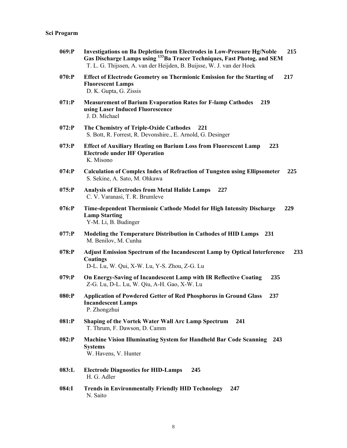| $069:$ P | Investigations on Ba Depletion from Electrodes in Low-Pressure Hg/Noble<br>215<br>Gas Discharge Lamps using <sup>133</sup> Ba Tracer Techniques, Fast Photog. and SEM<br>T. L. G. Thijssen, A. van der Heijden, B. Buijsse, W. J. van der Hoek |
|----------|------------------------------------------------------------------------------------------------------------------------------------------------------------------------------------------------------------------------------------------------|
| 070:P    | Effect of Electrode Geometry on Thermionic Emission for the Starting of<br>217<br><b>Fluorescent Lamps</b><br>D. K. Gupta, G. Zissis                                                                                                           |
| $071:$ P | <b>Measurement of Barium Evaporation Rates for F-lamp Cathodes</b><br>219<br>using Laser Induced Fluorescence<br>J. D. Michael                                                                                                                 |
| $072:$ P | The Chemistry of Triple-Oxide Cathodes<br>221<br>S. Bott, R. Forrest, R. Devonshire., E. Arnold, G. Desinger                                                                                                                                   |
| $073:$ P | <b>Effect of Auxiliary Heating on Barium Loss from Fluorescent Lamp</b><br>223<br><b>Electrode under HF Operation</b><br>K. Misono                                                                                                             |
| $074$ :P | <b>Calculation of Complex Index of Refraction of Tungsten using Ellipsometer</b><br>225<br>S. Sekine, A. Sato, M. Ohkawa                                                                                                                       |
| $075:$ P | <b>Analysis of Electrodes from Metal Halide Lamps</b><br>227<br>C. V. Varanasi, T. R. Brumleve                                                                                                                                                 |
| $076:$ P | Time-dependent Thermionic Cathode Model for High Intensity Discharge<br>229<br><b>Lamp Starting</b><br>Y-M. Li, B. Budinger                                                                                                                    |
| $077:$ P | Modeling the Temperature Distribution in Cathodes of HID Lamps<br>231<br>M. Benilov, M. Cunha                                                                                                                                                  |
| $078:$ P | <b>Adjust Emission Spectrum of the Incandescent Lamp by Optical Interference</b><br>233<br><b>Coatings</b><br>D-L. Lu, W. Qui, X-W. Lu, Y-S. Zhou, Z-G. Lu                                                                                     |
| $079:$ P | On Energy-Saving of Incandescent Lamp with IR Reflective Coating<br>235<br>Z-G. Lu, D-L. Lu, W. Qiu, A-H. Gao, X-W. Lu                                                                                                                         |
| 080:P    | <b>Application of Powdered Getter of Red Phosphorus in Ground Glass</b><br>237<br><b>Incandescent Lamps</b><br>P. Zhongzhui                                                                                                                    |
| 081:P    | Shaping of the Vortek Water Wall Arc Lamp Spectrum<br>241<br>T. Thrum, F. Dawson, D. Camm                                                                                                                                                      |
| $082:$ P | <b>Machine Vision Illuminating System for Handheld Bar Code Scanning 243</b><br><b>Systems</b><br>W. Havens, V. Hunter                                                                                                                         |
| 083: L   | <b>Electrode Diagnostics for HID-Lamps</b><br>245<br>H. G. Adler                                                                                                                                                                               |
| 084:I    | <b>Trends in Environmentally Friendly HID Technology</b><br>247<br>N. Saito                                                                                                                                                                    |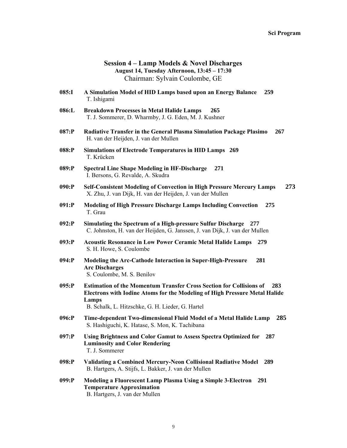#### **Session 4 – Lamp Models & Novel Discharges August 14, Tuesday Afternoon, 13:45 – 17:30**  Chairman: Sylvain Coulombe, GE

- **085:I A Simulation Model of HID Lamps based upon an Energy Balance 259** T. Ishigami
- **086:L Breakdown Processes in Metal Halide Lamps 265** T. J. Sommerer, D. Wharmby, J. G. Eden, M. J. Kushner
- **087:P Radiative Transfer in the General Plasma Simulation Package Plasimo 267** H. van der Heijden, J. van der Mullen
- **088:P Simulations of Electrode Temperatures in HID Lamps 269** T. Krücken
- **089:P Spectral Line Shape Modeling in HF-Discharge 271** I. Bersons, G. Revalde, A. Skudra
- **090:P Self-Consistent Modeling of Convection in High Pressure Mercury Lamps 273** X. Zhu, J. van Dijk, H. van der Heijden, J. van der Mullen
- **091:P Modeling of High Pressure Discharge Lamps Including Convection 275** T. Grau
- **092:P Simulating the Spectrum of a High-pressure Sulfur Discharge 277** C. Johnston, H. van der Heijden, G. Janssen, J. van Dijk, J. van der Mullen
- **093:P Acoustic Resonance in Low Power Ceramic Metal Halide Lamps 279** S. H. Howe, S. Coulombe
- **094:P Modeling the Arc-Cathode Interaction in Super-High-Pressure 281 Arc Discharges** S. Coulombe, M. S. Benilov
- **095:P Estimation of the Momentum Transfer Cross Section for Collisions of 283 Electrons with Iodine Atoms for the Modeling of High Pressure Metal Halide Lamps**  B. Schalk, L. Hitzschke, G. H. Lieder, G. Hartel
- **096:P Time-dependent Two-dimensional Fluid Model of a Metal Halide Lamp 285** S. Hashiguchi, K. Hatase, S. Mon, K. Tachibana
- **097:P Using Brightness and Color Gamut to Assess Spectra Optimized for 287 Luminosity and Color Rendering**  T. J. Sommerer
- **098:P Validating a Combined Mercury-Neon Collisional Radiative Model 289** B. Hartgers, A. Stijfs, L. Bakker, J. van der Mullen
- **099:P Modeling a Fluorescent Lamp Plasma Using a Simple 3-Electron 291 Temperature Approximation**  B. Hartgers, J. van der Mullen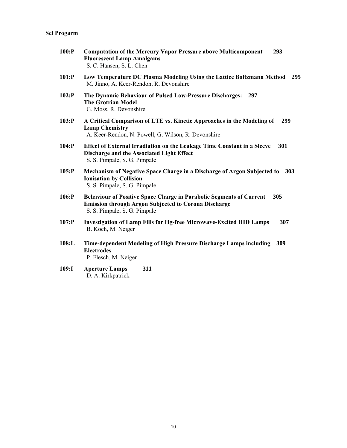- **100:P Computation of the Mercury Vapor Pressure above Multicomponent 293 Fluorescent Lamp Amalgams** S. C. Hansen, S. L. Chen
- **101:P Low Temperature DC Plasma Modeling Using the Lattice Boltzmann Method 295** M. Jinno, A. Keer-Rendon, R. Devonshire
- **102:P The Dynamic Behaviour of Pulsed Low-Pressure Discharges: 297 The Grotrian Model** G. Moss, R. Devonshire
- **103:P A Critical Comparison of LTE vs. Kinetic Approaches in the Modeling of 299 Lamp Chemistry**  A. Keer-Rendon, N. Powell, G. Wilson, R. Devonshire
- **104:P Effect of External Irradiation on the Leakage Time Constant in a Sleeve 301 Discharge and the Associated Light Effect**  S. S. Pimpale, S. G. Pimpale
- **105:P Mechanism of Negative Space Charge in a Discharge of Argon Subjected to 303 Ionisation by Collision**  S. S. Pimpale, S. G. Pimpale
- **106:P Behaviour of Positive Space Charge in Parabolic Segments of Current 305 Emission through Argon Subjected to Corona Discharge**  S. S. Pimpale, S. G. Pimpale
- **107:P Investigation of Lamp Fills for Hg-free Microwave-Excited HID Lamps 307** B. Koch, M. Neiger
- **108:L Time-dependent Modeling of High Pressure Discharge Lamps including 309 Electrodes**  P. Flesch, M. Neiger
- **109:I Aperture Lamps 311** D. A. Kirkpatrick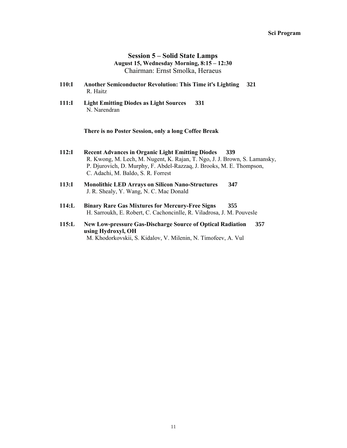## **Session 5 – Solid State Lamps August 15, Wednesday Morning, 8:15 – 12:30**  Chairman: Ernst Smolka, Heraeus

- **110:I Another Semiconductor Revolution: This Time it's Lighting 321** R. Haitz
- **111:I Light Emitting Diodes as Light Sources 331** N. Narendran

**There is no Poster Session, only a long Coffee Break** 

- **112:I Recent Advances in Organic Light Emitting Diodes 339** R. Kwong, M. Lech, M. Nugent, K. Rajan, T. Ngo, J. J. Brown, S. Lamansky, P. Djurovich, D. Murphy, F. Abdel-Razzaq, J. Brooks, M. E. Thompson, C. Adachi, M. Baldo, S. R. Forrest
- **113:I Monolithic LED Arrays on Silicon Nano-Structures 347** J. R. Shealy, Y. Wang, N. C. Mac Donald
- **114:L Binary Rare Gas Mixtures for Mercury-Free Signs 355** H. Sarroukh, E. Robert, C. Cachoncinlle, R. Viladrosa, J. M. Pouvesle
- **115:L New Low-pressure Gas-Discharge Source of Optical Radiation 357 using Hydroxyl, OH**  M. Khodorkovskii, S. Kidalov, V. Milenin, N. Timofeev, A. Vul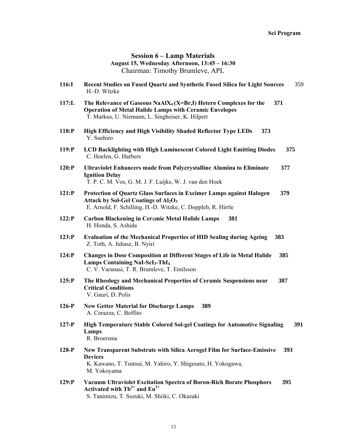### **Session 6 – Lamp Materials August 15, Wednesday Afternoon, 13:45 – 16:30**  Chairman: Timothy Brumleve, APL

- **116:I Recent Studies on Fused Quartz and Synthetic Fused Silica for Light Sources** 359 H.-D. Witzke
- **117:L The Relevance of Gaseous NaAlX4 (X=Br,I) Hetero Complexes for the 371 Operation of Metal Halide Lamps with Ceramic Envelopes**  T. Markus, U. Niemann, L. Singheiser, K. Hilpert
- **118:P High Efficiency and High Visibility Shaded Reflector Type LEDs 373** Y. Suehiro
- **119:P LCD Backlighting with High Luminescent Colored Light Emitting Diodes 375** C. Hoelen, G. Harbers
- **120:P Ultraviolet Enhancers made from Polycrystalline Alumina to Eliminate 377 Ignition Delay**  T. P. C. M. Vos, G. M. J. F. Luijks, W. J. van den Hoek
- **121:P Protection of Quartz Glass Surfaces in Excimer Lamps against Halogen 379** Attack by Sol-Gel Coatings of Al<sub>2</sub>O<sub>3</sub> E. Arnold, F. Schilling, H.-D. Witzke, C. Doppleb, R. Hirrle
- **122:P Carbon Blackening in Cer**a**mic Metal Halide Lamps 381** H. Honda, S. Ashida
- **123:P Evaluation of the Mechanical Properties of HID Sealing during Ageing 383** Z. Toth, A. Juhasz, B. Nyiri
- **124:P Changes in Dose Composition at Different Stages of Life in Metal Halide 385 Lamps Containing NaI-ScI3-ThI4** C. V. Varanasi, T. R. Brumleve, T. Emilsson
- **125:P The Rheology and Mechanical Properties of Ceramic Suspensions near 387 Critical Conditions**  V. Gauri, D. Polis
- **126-P New Getter Material for Discharge Lamps 389** A. Corazza, C. Boffito
- **127-P High Temperature Stable Colored Sol-gel Coatings for Automotive Signaling 391 Lamps**  R. Broersma
- **128-P New Transparent Substrate with Silica Aerogel Film for Surface-Emissive 393 Devices**  K. Kawano, T. Tsutsui, M. Yahiro, Y. Shigesato, H. Yokogawa, M. Yokoyama
- **129:P Vacuum Ultraviolet Excitation Spectra of Boron-Rich Borate Phosphors 395 Activated with Tb3+ and Eu3+** S. Tanimizu, T. Suzuki, M. Shiiki, C. Okazaki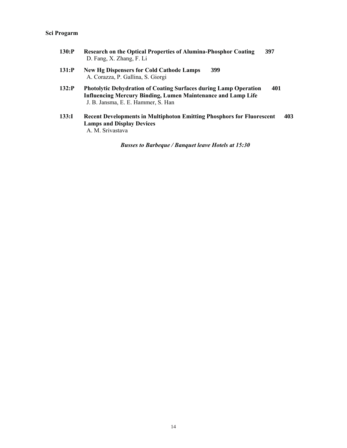| 130:P | <b>Research on the Optical Properties of Alumina-Phosphor Coating</b> | 397 |
|-------|-----------------------------------------------------------------------|-----|
|       | D. Fang, X. Zhang, F. Li                                              |     |

- **131:P New Hg Dispensers for Cold Cathode Lamps 399** A. Corazza, P. Gallina, S. Giorgi
- **132:P Photolytic Dehydration of Coating Surfaces during Lamp Operation 401 Influencing Mercury Binding, Lumen Maintenance and Lamp Life**  J. B. Jansma, E. E. Hammer, S. Han
- **133:I Recent Developments in Multiphoton Emitting Phosphors for Fluorescent 403 Lamps and Display Devices**  A. M. Srivastava

*Busses to Barbeque / Banquet leave Hotels at 15:30*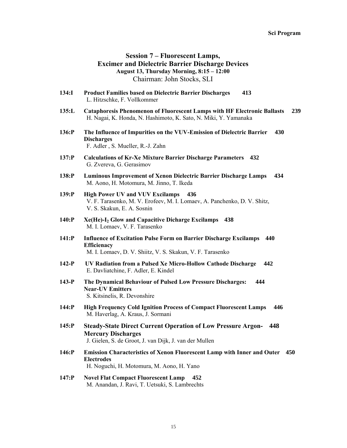## **Session 7 – Fluorescent Lamps, Excimer and Dielectric Barrier Discharge Devices August 13, Thursday Morning, 8:15 – 12:00**  Chairman: John Stocks, SLI

- **134:I Product Families based on Dielectric Barrier Discharges 413** L. Hitzschke, F. Vollkommer
- **135:L Cataphoresis Phenomenon of Fluorescent Lamps with HF Electronic Ballasts 239** H. Nagai, K. Honda, N. Hashimoto, K. Sato, N. Miki, Y. Yamanaka
- **136:P The Influence of Impurities on the VUV-Emission of Dielectric Barrier 430 Discharges**  F. Adler , S. Mueller, R.-J. Zahn
- **137:P Calculations of Kr-Xe Mixture Barrier Discharge Parameters 432** G. Zvereva, G. Gerasimov
- **138:P Luminous Improvement of Xenon Dielectric Barrier Discharge Lamps 434** M. Aono, H. Motomura, M. Jinno, T. Ikeda
- **139:P High Power UV and VUV Excilamps 436** V. F. Tarasenko, M. V. Erofeev, M. I. Lomaev, A. Panchenko, D. V. Shitz, V. S. Skakun, E. A. Sosnin
- **140:P Xe(He)-I2 Glow and Capacitive Dicharge Excilamps 438** M. I. Lomaev, V. F. Tarasenko
- **141:P Influence of Excitation Pulse Form on Barrier Discharge Excilamps 440 Efficienacy**  M. I. Lomaev, D. V. Shiitz, V. S. Skakun, V. F. Tarasenko
- **142-P UV Radiation from a Pulsed Xe Micro-Hollow Cathode Discharge 442** E. Davliatchine, F. Adler, E. Kindel
- **143-P The Dynamical Behaviour of Pulsed Low Pressure Discharges: 444 Near-UV Emitters**  S. Kitsinelis, R. Devonshire
- **144:P High Frequency Cold Ignition Process of Compact Fluorescent Lamps 446** M. Haverlag, A. Kraus, J. Sormani
- **145:P Steady-State Direct Current Operation of Low Pressure Argon- 448 Mercury Discharges**  J. Gielen, S. de Groot, J. van Dijk, J. van der Mullen
- **146:P Emission Characteristics of Xenon Fluorescent Lamp with Inner and Outer 450 Electrodes**  H. Noguchi, H. Motomura, M. Aono, H. Yano
- **147:P Novel Flat Compact Fluorescent Lamp 452** M. Anandan, J. Ravi, T. Uetsuki, S. Lambrechts